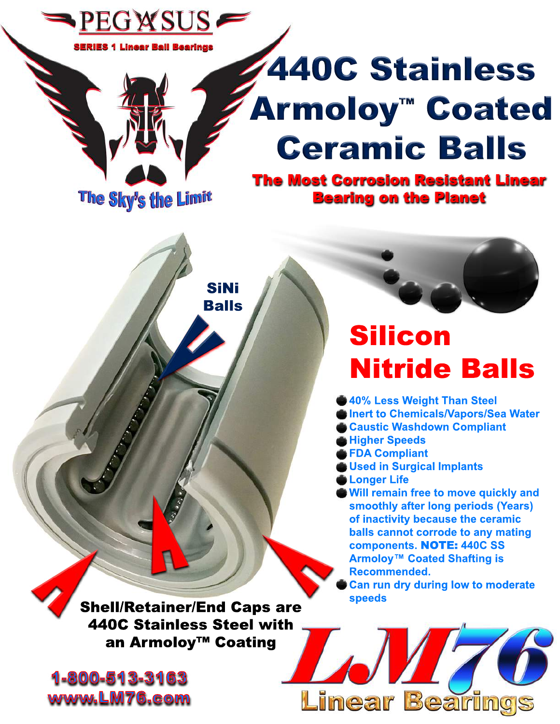

**Nitride Balls 40% Less Weight Than Steel** 

**Inert to Chemicals/Vapors/Sea Water Caustic Washdown Compliant Higher Speeds** 

- **FDACompliant**
- **Used in Surgical Implants**
- **C**Longer Life
- **Will remain free to move quickly and** smoothly after long periods (Years) **of inactivity because the ceramic balls cannot corrode to any mating components.**NOTE:**440CSS Armoloy<sup>™</sup> Coated Shafting is Recommended.**

**Can run dry during low to moderate speeds**

**Linear Bearings** 

**Shell/Retainer/End Caps are 440C Stainless Steel with** an Armoloy<sup>™</sup> Coating

1-800-513-3163 www.LM76.com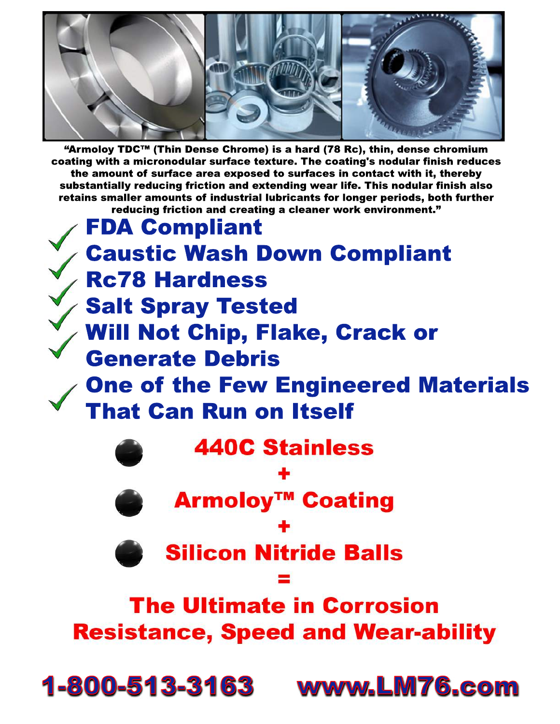

"Armoloy TDC™ (Thin Dense Chrome) is a hard (78 Rc), thin, dense chromium coating with a micronodular surface texture. The coating's nodular finish reduces the amount of surface area exposed to surfaces in contact with it, thereby substantially reducing friction and extending wear life. This nodular finish also retains smaller amounts of industrial lubricants for longer periods, both further reducing friction and creating a cleaner work environment."

**FDA Compliant Caustic Wash Down Compliant Rc78 Hardness Salt Spray Tested** Will Not Chip, Flake, Crack or **Generate Debris One of the Few Engineered Materials That Can Run on Itself 440C Stainless Armoloy<sup>™</sup> Coating Silicon Nitride Balls The Ultimate in Corrosion Resistance, Speed and Wear-ability** 

1-800-513-3163 www.LM76.com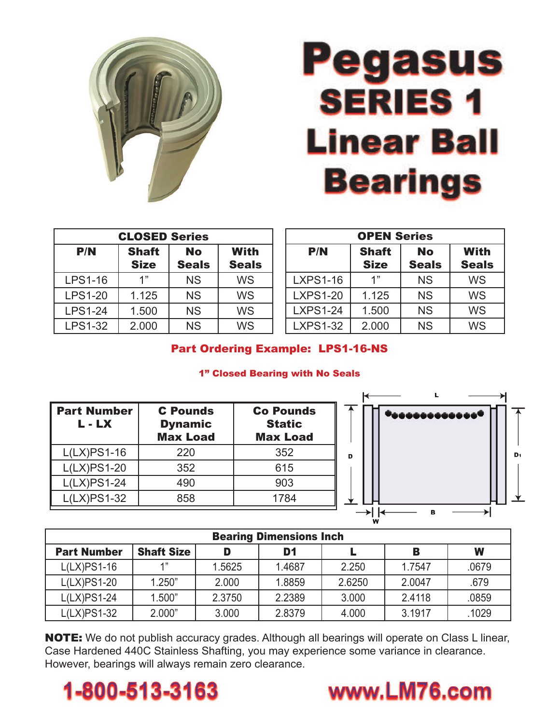

## **Pegasus SERIES 1 Linear Ball Bearings**

| <b>CLOSED Series</b> |                             |                           |                             |  |  |  |
|----------------------|-----------------------------|---------------------------|-----------------------------|--|--|--|
| P/N                  | <b>Shaft</b><br><b>Size</b> | <b>No</b><br><b>Seals</b> | <b>With</b><br><b>Seals</b> |  |  |  |
| <b>LPS1-16</b>       | 1"                          | <b>NS</b>                 | <b>WS</b>                   |  |  |  |
| <b>LPS1-20</b>       | 1.125                       | <b>NS</b>                 | <b>WS</b>                   |  |  |  |
| <b>LPS1-24</b>       | 1.500                       | <b>NS</b>                 | <b>WS</b>                   |  |  |  |
| <b>LPS1-32</b>       | 2.000                       | <b>NS</b>                 | WS                          |  |  |  |

| <b>OPEN Series</b> |              |              |              |  |  |  |  |
|--------------------|--------------|--------------|--------------|--|--|--|--|
| P/N                | <b>Shaft</b> | <b>No</b>    | <b>With</b>  |  |  |  |  |
|                    | <b>Size</b>  | <b>Seals</b> | <b>Seals</b> |  |  |  |  |
| <b>LXPS1-16</b>    | 1"           | <b>NS</b>    | <b>WS</b>    |  |  |  |  |
| <b>LXPS1-20</b>    | 1.125        | <b>NS</b>    | <b>WS</b>    |  |  |  |  |
| <b>LXPS1-24</b>    | 1.500        | <b>NS</b>    | <b>WS</b>    |  |  |  |  |
| <b>LXPS1-32</b>    | 2.000        | <b>NS</b>    | <b>WS</b>    |  |  |  |  |

## Part Ordering Example: LPS1-16-NS

## 1" Closed Bearing with No Seals

| <b>Part Number</b><br>L - LX | <b>C</b> Pounds<br><b>Dynamic</b><br><b>Max Load</b> | <b>Co Pounds</b><br><b>Static</b><br><b>Max Load</b> |  |
|------------------------------|------------------------------------------------------|------------------------------------------------------|--|
| $L(LX)PS1-16$                | 220                                                  | 352                                                  |  |
| $L(LX)PS1-20$                | 352                                                  | 615                                                  |  |
| $L(LX)PS1-24$                | 490                                                  | 903                                                  |  |
| $L(LX)PS1-32$                | 858                                                  | 1784                                                 |  |



| <b>Bearing Dimensions Inch</b> |                   |        |        |        |        |       |  |  |  |
|--------------------------------|-------------------|--------|--------|--------|--------|-------|--|--|--|
| <b>Part Number</b>             | <b>Shaft Size</b> | D      | D1     |        | В      | W     |  |  |  |
| $L(LX)$ PS1-16                 | 4"                | 1.5625 | 1.4687 | 2.250  | 1.7547 | .0679 |  |  |  |
| $L(LX)PS1-20$                  | 1.250"            | 2.000  | 1.8859 | 2.6250 | 2.0047 | .679  |  |  |  |
| $L(LX)PS1-24$                  | 1.500"            | 2.3750 | 2.2389 | 3.000  | 2.4118 | .0859 |  |  |  |
| L(LX)PS1-32                    | 2.000"            | 3.000  | 2.8379 | 4.000  | 3.1917 | 1029  |  |  |  |

**NOTE:** We do not publish accuracy grades. Although all bearings will operate on Class L linear, Case Hardened 440C Stainless Shafting, you may experience some variance in clearance. However, bearings will always remain zero clearance.